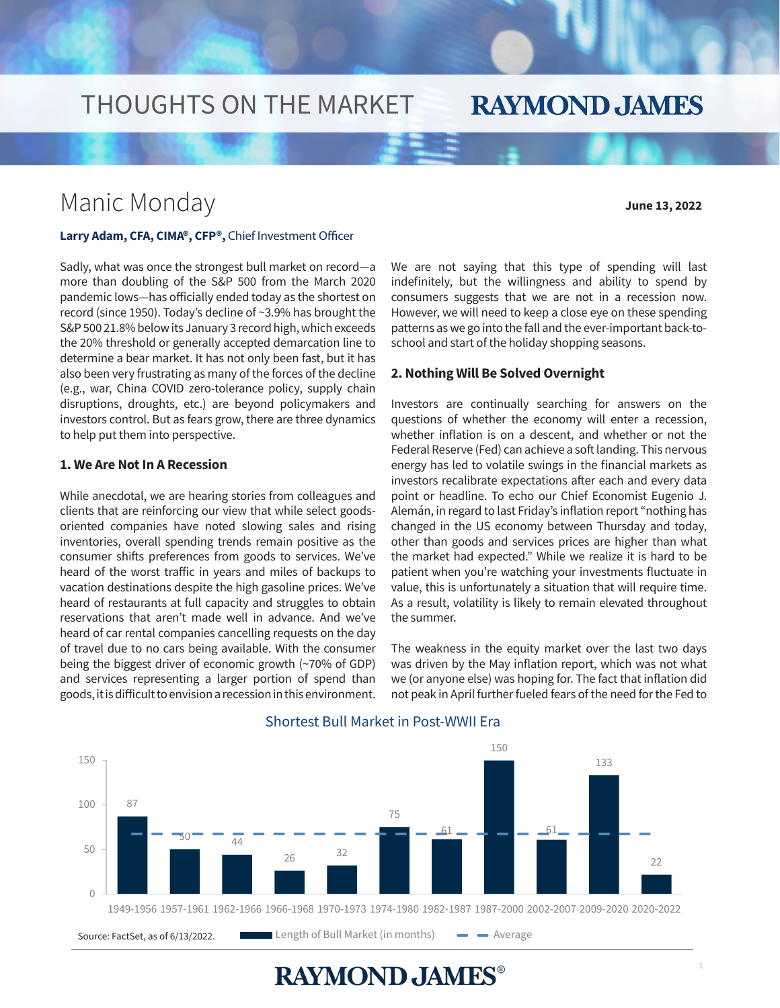## THOUGHTS ON THE MARKET

### Manic Monday

**June 13, 2022**

### **Larry Adam, CFA, CIMA®, CFP®,** Chief Investment Officer

Sadly, what was once the strongest bull market on record—a more than doubling of the S&P 500 from the March 2020 pandemic lows—has officially ended today as the shortest on record (since 1950). Today's decline of ~3.9% has brought the S&P 500 21.8% below its January 3 record high, which exceeds the 20% threshold or generally accepted demarcation line to determine a bear market. It has not only been fast, but it has also been very frustrating as many of the forces of the decline (e.g., war, China COVID zero-tolerance policy, supply chain disruptions, droughts, etc.) are beyond policymakers and investors control. But as fears grow, there are three dynamics to help put them into perspective.

#### **1. We Are Not In A Recession**

While anecdotal, we are hearing stories from colleagues and clients that are reinforcing our view that while select goodsoriented companies have noted slowing sales and rising inventories, overall spending trends remain positive as the consumer shifts preferences from goods to services. We've heard of the worst traffic in years and miles of backups to vacation destinations despite the high gasoline prices. We've heard of restaurants at full capacity and struggles to obtain reservations that aren't made well in advance. And we've heard of car rental companies cancelling requests on the day of travel due to no cars being available. With the consumer being the biggest driver of economic growth (~70% of GDP) and services representing a larger portion of spend than goods, it is difficult to envision a recession in this environment.

We are not saying that this type of spending will last indefinitely, but the willingness and ability to spend by consumers suggests that we are not in a recession now. However, we will need to keep a close eye on these spending patterns as we go into the fall and the ever-important back-toschool and start of the holiday shopping seasons.

**RAYMOND JAMES** 

#### **2. Nothing Will Be Solved Overnight**

Investors are continually searching for answers on the questions of whether the economy will enter a recession, whether inflation is on a descent, and whether or not the Federal Reserve (Fed) can achieve a soft landing. This nervous energy has led to volatile swings in the financial markets as investors recalibrate expectations after each and every data point or headline. To echo our Chief Economist Eugenio J. Alemán, in regard to last Friday's inflation report "nothing has changed in the US economy between Thursday and today, other than goods and services prices are higher than what the market had expected." While we realize it is hard to be patient when you're watching your investments fluctuate in value, this is unfortunately a situation that will require time. As a result, volatility is likely to remain elevated throughout the summer.

The weakness in the equity market over the last two days was driven by the May inflation report, which was not what we (or anyone else) was hoping for. The fact that inflation did not peak in April further fueled fears of the need for the Fed to



#### Shortest Bull Market in Post-WWII Era

**RAYMOND JAMES®**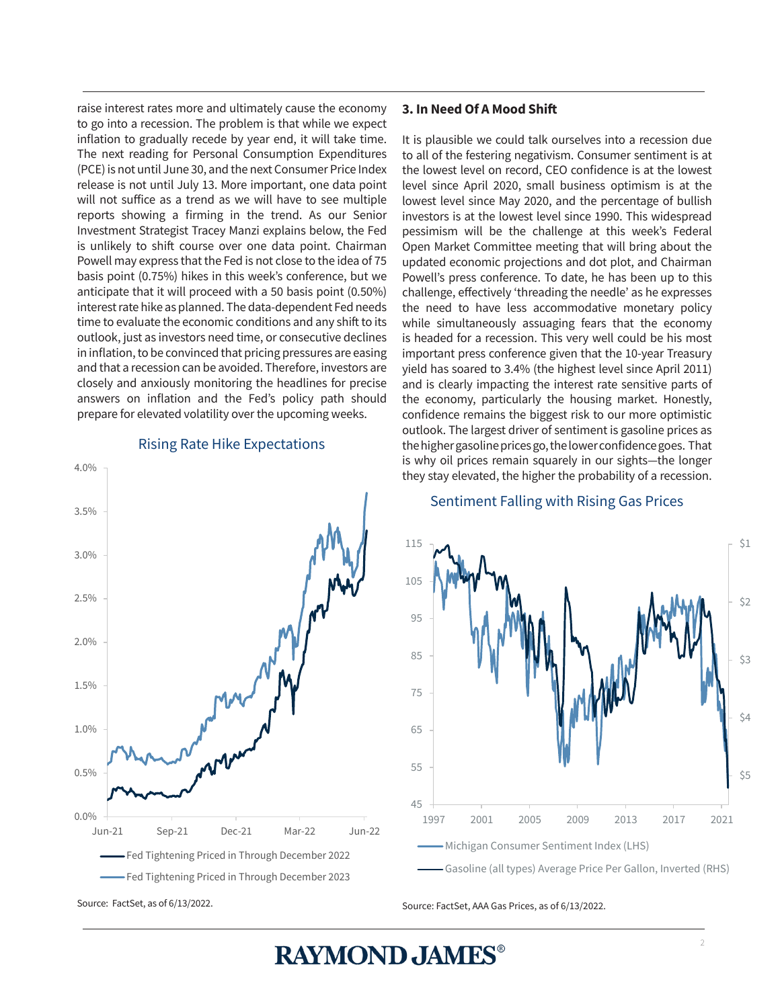raise interest rates more and ultimately cause the economy to go into a recession. The problem is that while we expect inflation to gradually recede by year end, it will take time. The next reading for Personal Consumption Expenditures (PCE) is not until June 30, and the next Consumer Price Index release is not until July 13. More important, one data point will not suffice as a trend as we will have to see multiple reports showing a firming in the trend. As our Senior Investment Strategist Tracey Manzi explains below, the Fed is unlikely to shift course over one data point. Chairman Powell may express that the Fed is not close to the idea of 75 basis point (0.75%) hikes in this week's conference, but we anticipate that it will proceed with a 50 basis point (0.50%) interest rate hike as planned. The data-dependent Fed needs time to evaluate the economic conditions and any shift to its outlook, just as investors need time, or consecutive declines in inflation, to be convinced that pricing pressures are easing and that a recession can be avoided. Therefore, investors are closely and anxiously monitoring the headlines for precise answers on inflation and the Fed's policy path should prepare for elevated volatility over the upcoming weeks.

# Ī Source: FactSet, as of 6/13/2022. 0.0% 0.5% 1.0% 1.5% 2.0% 2.5% 3.0% 3.5% 4.0% Jun-21 Sep-21 Dec-21 Mar-22 Jun-22 Fed Tightening Priced in Through December 2022 Fed Tightening Priced in Through December 2023

#### Rising Rate Hike Expectations

#### **3. In Need Of A Mood Shift**

It is plausible we could talk ourselves into a recession due to all of the festering negativism. Consumer sentiment is at the lowest level on record, CEO confidence is at the lowest level since April 2020, small business optimism is at the lowest level since May 2020, and the percentage of bullish investors is at the lowest level since 1990. This widespread pessimism will be the challenge at this week's Federal Open Market Committee meeting that will bring about the updated economic projections and dot plot, and Chairman Powell's press conference. To date, he has been up to this challenge, effectively 'threading the needle' as he expresses the need to have less accommodative monetary policy while simultaneously assuaging fears that the economy is headed for a recession. This very well could be his most important press conference given that the 10-year Treasury yield has soared to 3.4% (the highest level since April 2011) and is clearly impacting the interest rate sensitive parts of the economy, particularly the housing market. Honestly, confidence remains the biggest risk to our more optimistic outlook. The largest driver of sentiment is gasoline prices as the higher gasoline prices go, the lower confidence goes. That is why oil prices remain squarely in our sights—the longer they stay elevated, the higher the probability of a recession.

#### Sentiment Falling with Rising Gas Prices



Source: FactSet, AAA Gas Prices, as of 6/13/2022.

**RAYMOND JAMES®**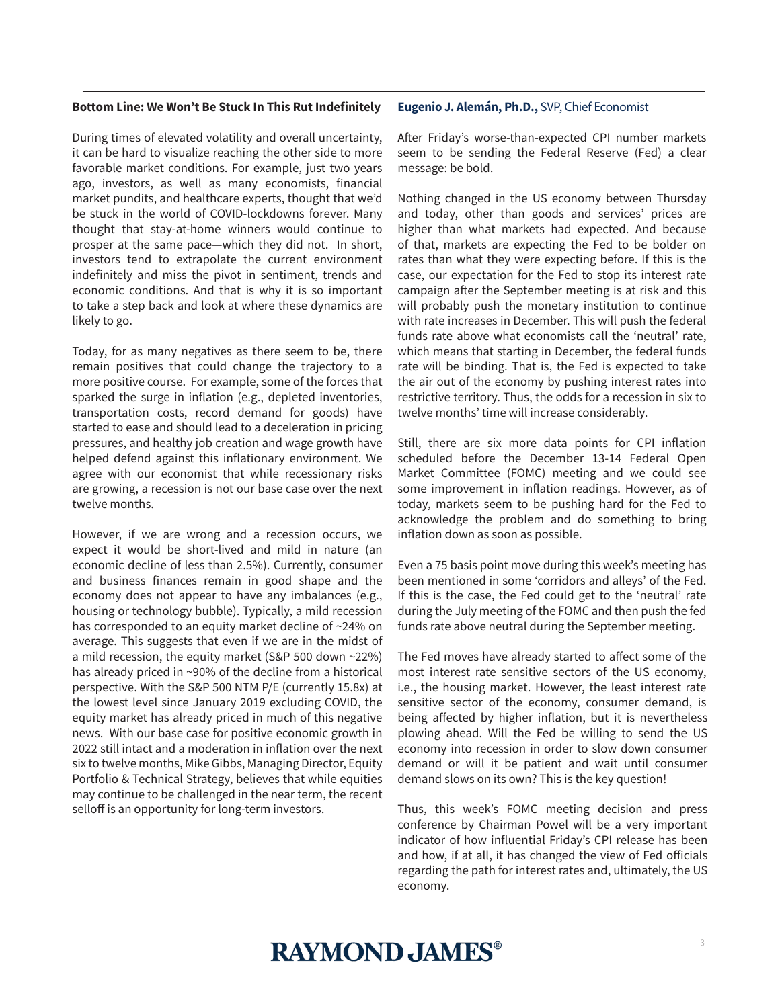#### **Bottom Line: We Won't Be Stuck In This Rut Indefinitely**

During times of elevated volatility and overall uncertainty, it can be hard to visualize reaching the other side to more favorable market conditions. For example, just two years ago, investors, as well as many economists, financial market pundits, and healthcare experts, thought that we'd be stuck in the world of COVID-lockdowns forever. Many thought that stay-at-home winners would continue to prosper at the same pace—which they did not. In short, investors tend to extrapolate the current environment indefinitely and miss the pivot in sentiment, trends and economic conditions. And that is why it is so important to take a step back and look at where these dynamics are likely to go.

Today, for as many negatives as there seem to be, there remain positives that could change the trajectory to a more positive course. For example, some of the forces that sparked the surge in inflation (e.g., depleted inventories, transportation costs, record demand for goods) have started to ease and should lead to a deceleration in pricing pressures, and healthy job creation and wage growth have helped defend against this inflationary environment. We agree with our economist that while recessionary risks are growing, a recession is not our base case over the next twelve months.

However, if we are wrong and a recession occurs, we expect it would be short-lived and mild in nature (an economic decline of less than 2.5%). Currently, consumer and business finances remain in good shape and the economy does not appear to have any imbalances (e.g., housing or technology bubble). Typically, a mild recession has corresponded to an equity market decline of ~24% on average. This suggests that even if we are in the midst of a mild recession, the equity market (S&P 500 down ~22%) has already priced in ~90% of the decline from a historical perspective. With the S&P 500 NTM P/E (currently 15.8x) at the lowest level since January 2019 excluding COVID, the equity market has already priced in much of this negative news. With our base case for positive economic growth in 2022 still intact and a moderation in inflation over the next six to twelve months, Mike Gibbs, Managing Director, Equity Portfolio & Technical Strategy, believes that while equities may continue to be challenged in the near term, the recent selloff is an opportunity for long-term investors.

#### **Eugenio J. Alemán, Ph.D.,** SVP, Chief Economist

After Friday's worse-than-expected CPI number markets seem to be sending the Federal Reserve (Fed) a clear message: be bold.

Nothing changed in the US economy between Thursday and today, other than goods and services' prices are higher than what markets had expected. And because of that, markets are expecting the Fed to be bolder on rates than what they were expecting before. If this is the case, our expectation for the Fed to stop its interest rate campaign after the September meeting is at risk and this will probably push the monetary institution to continue with rate increases in December. This will push the federal funds rate above what economists call the 'neutral' rate, which means that starting in December, the federal funds rate will be binding. That is, the Fed is expected to take the air out of the economy by pushing interest rates into restrictive territory. Thus, the odds for a recession in six to twelve months' time will increase considerably.

Still, there are six more data points for CPI inflation scheduled before the December 13-14 Federal Open Market Committee (FOMC) meeting and we could see some improvement in inflation readings. However, as of today, markets seem to be pushing hard for the Fed to acknowledge the problem and do something to bring inflation down as soon as possible.

Even a 75 basis point move during this week's meeting has been mentioned in some 'corridors and alleys' of the Fed. If this is the case, the Fed could get to the 'neutral' rate during the July meeting of the FOMC and then push the fed funds rate above neutral during the September meeting.

The Fed moves have already started to affect some of the most interest rate sensitive sectors of the US economy, i.e., the housing market. However, the least interest rate sensitive sector of the economy, consumer demand, is being affected by higher inflation, but it is nevertheless plowing ahead. Will the Fed be willing to send the US economy into recession in order to slow down consumer demand or will it be patient and wait until consumer demand slows on its own? This is the key question!

Thus, this week's FOMC meeting decision and press conference by Chairman Powel will be a very important indicator of how influential Friday's CPI release has been and how, if at all, it has changed the view of Fed officials regarding the path for interest rates and, ultimately, the US economy.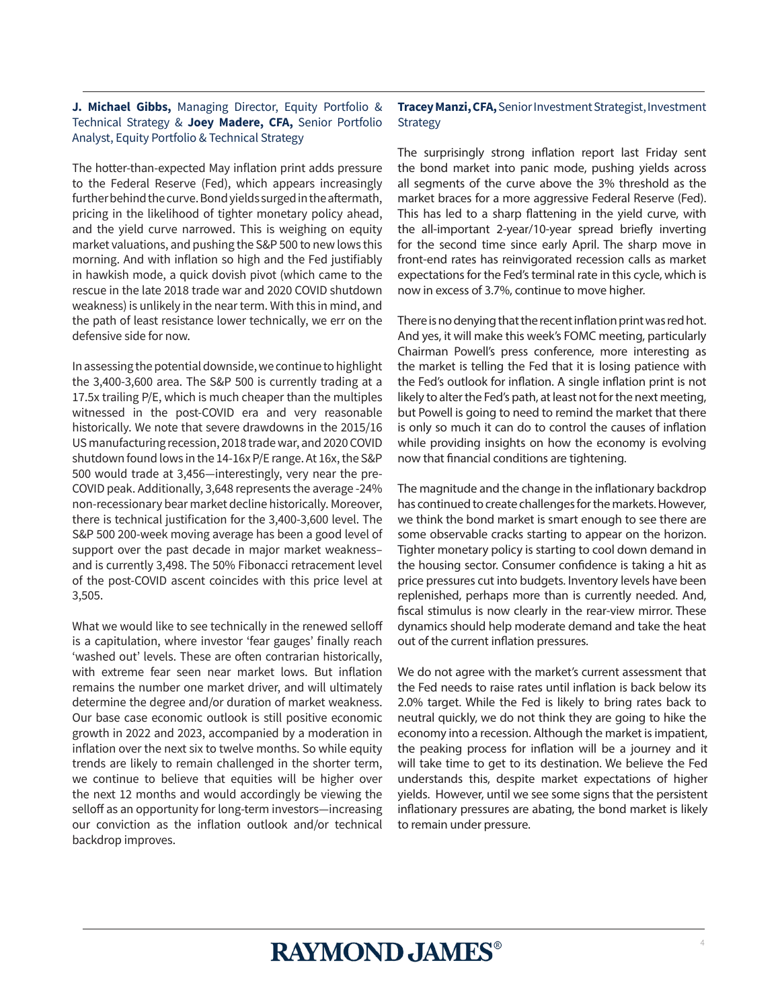#### **J. Michael Gibbs,** Managing Director, Equity Portfolio & Technical Strategy & **Joey Madere, CFA,** Senior Portfolio Analyst, Equity Portfolio & Technical Strategy

The hotter-than-expected May inflation print adds pressure to the Federal Reserve (Fed), which appears increasingly further behind the curve. Bond yields surged in the aftermath, pricing in the likelihood of tighter monetary policy ahead, and the yield curve narrowed. This is weighing on equity market valuations, and pushing the S&P 500 to new lows this morning. And with inflation so high and the Fed justifiably in hawkish mode, a quick dovish pivot (which came to the rescue in the late 2018 trade war and 2020 COVID shutdown weakness) is unlikely in the near term. With this in mind, and the path of least resistance lower technically, we err on the defensive side for now.

In assessing the potential downside, we continue to highlight the 3,400-3,600 area. The S&P 500 is currently trading at a 17.5x trailing P/E, which is much cheaper than the multiples witnessed in the post-COVID era and very reasonable historically. We note that severe drawdowns in the 2015/16 US manufacturing recession, 2018 trade war, and 2020 COVID shutdown found lows in the 14-16x P/E range. At 16x, the S&P 500 would trade at 3,456—interestingly, very near the pre-COVID peak. Additionally, 3,648 represents the average -24% non-recessionary bear market decline historically. Moreover, there is technical justification for the 3,400-3,600 level. The S&P 500 200-week moving average has been a good level of support over the past decade in major market weakness– and is currently 3,498. The 50% Fibonacci retracement level of the post-COVID ascent coincides with this price level at 3,505.

What we would like to see technically in the renewed selloff is a capitulation, where investor 'fear gauges' finally reach 'washed out' levels. These are often contrarian historically, with extreme fear seen near market lows. But inflation remains the number one market driver, and will ultimately determine the degree and/or duration of market weakness. Our base case economic outlook is still positive economic growth in 2022 and 2023, accompanied by a moderation in inflation over the next six to twelve months. So while equity trends are likely to remain challenged in the shorter term, we continue to believe that equities will be higher over the next 12 months and would accordingly be viewing the selloff as an opportunity for long-term investors—increasing our conviction as the inflation outlook and/or technical backdrop improves.

#### **Tracey Manzi, CFA,** Senior Investment Strategist, Investment **Strategy**

The surprisingly strong inflation report last Friday sent the bond market into panic mode, pushing yields across all segments of the curve above the 3% threshold as the market braces for a more aggressive Federal Reserve (Fed). This has led to a sharp flattening in the yield curve, with the all-important 2-year/10-year spread briefly inverting for the second time since early April. The sharp move in front-end rates has reinvigorated recession calls as market expectations for the Fed's terminal rate in this cycle, which is now in excess of 3.7%, continue to move higher.

There is no denying that the recent inflation print was red hot. And yes, it will make this week's FOMC meeting, particularly Chairman Powell's press conference, more interesting as the market is telling the Fed that it is losing patience with the Fed's outlook for inflation. A single inflation print is not likely to alter the Fed's path, at least not for the next meeting, but Powell is going to need to remind the market that there is only so much it can do to control the causes of inflation while providing insights on how the economy is evolving now that financial conditions are tightening.

The magnitude and the change in the inflationary backdrop has continued to create challenges for the markets. However, we think the bond market is smart enough to see there are some observable cracks starting to appear on the horizon. Tighter monetary policy is starting to cool down demand in the housing sector. Consumer confidence is taking a hit as price pressures cut into budgets. Inventory levels have been replenished, perhaps more than is currently needed. And, fiscal stimulus is now clearly in the rear-view mirror. These dynamics should help moderate demand and take the heat out of the current inflation pressures.

We do not agree with the market's current assessment that the Fed needs to raise rates until inflation is back below its 2.0% target. While the Fed is likely to bring rates back to neutral quickly, we do not think they are going to hike the economy into a recession. Although the market is impatient, the peaking process for inflation will be a journey and it will take time to get to its destination. We believe the Fed understands this, despite market expectations of higher yields. However, until we see some signs that the persistent inflationary pressures are abating, the bond market is likely to remain under pressure.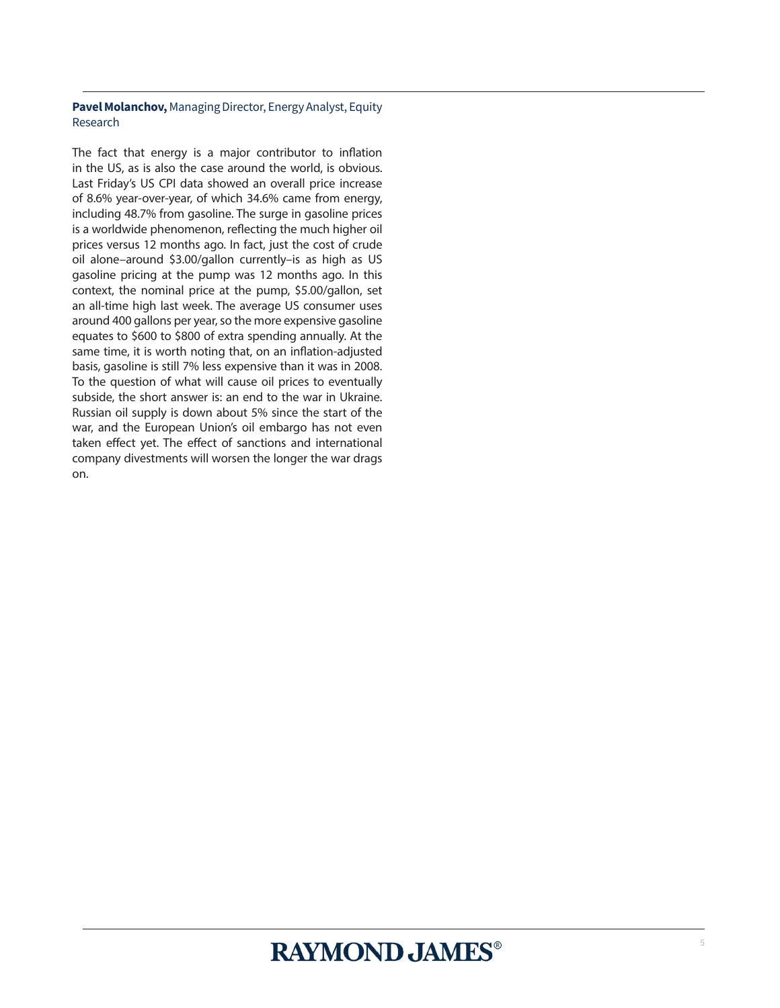#### **Pavel Molanchov,** Managing Director, Energy Analyst, Equity Research

The fact that energy is a major contributor to inflation in the US, as is also the case around the world, is obvious. Last Friday's US CPI data showed an overall price increase of 8.6% year-over-year, of which 34.6% came from energy, including 48.7% from gasoline. The surge in gasoline prices is a worldwide phenomenon, reflecting the much higher oil prices versus 12 months ago. In fact, just the cost of crude oil alone–around \$3.00/gallon currently–is as high as US gasoline pricing at the pump was 12 months ago. In this context, the nominal price at the pump, \$5.00/gallon, set an all-time high last week. The average US consumer uses around 400 gallons per year, so the more expensive gasoline equates to \$600 to \$800 of extra spending annually. At the same time, it is worth noting that, on an inflation-adjusted basis, gasoline is still 7% less expensive than it was in 2008. To the question of what will cause oil prices to eventually subside, the short answer is: an end to the war in Ukraine. Russian oil supply is down about 5% since the start of the war, and the European Union's oil embargo has not even taken effect yet. The effect of sanctions and international company divestments will worsen the longer the war drags on.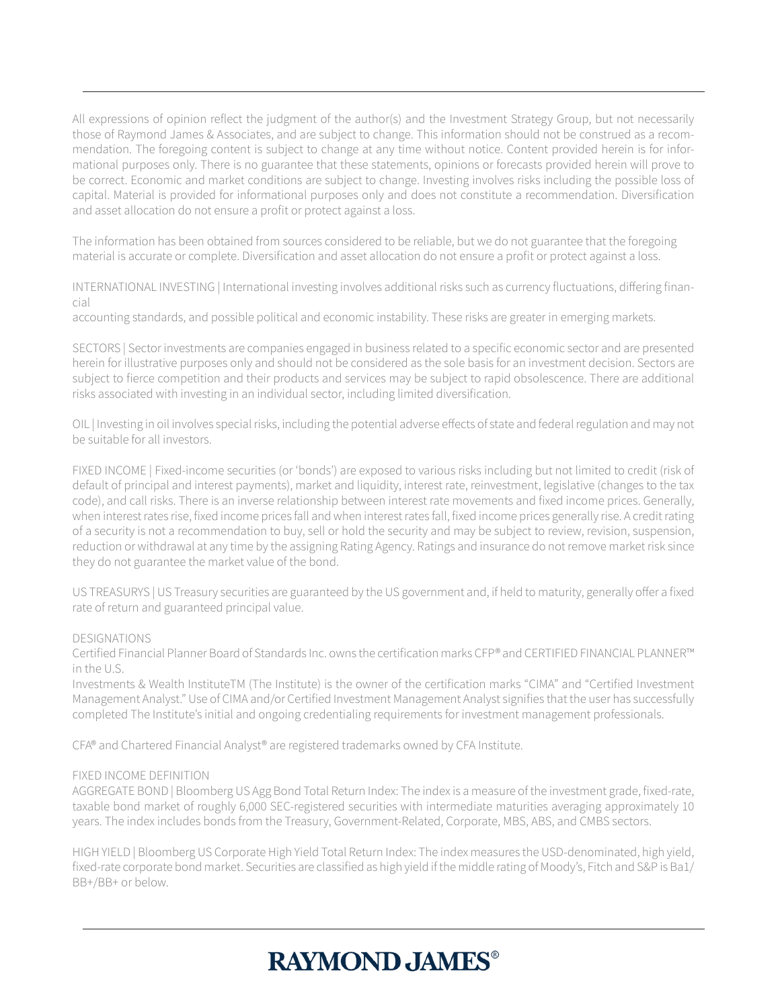All expressions of opinion reflect the judgment of the author(s) and the Investment Strategy Group, but not necessarily those of Raymond James & Associates, and are subject to change. This information should not be construed as a recommendation. The foregoing content is subject to change at any time without notice. Content provided herein is for informational purposes only. There is no guarantee that these statements, opinions or forecasts provided herein will prove to be correct. Economic and market conditions are subject to change. Investing involves risks including the possible loss of capital. Material is provided for informational purposes only and does not constitute a recommendation. Diversification and asset allocation do not ensure a profit or protect against a loss.

The information has been obtained from sources considered to be reliable, but we do not guarantee that the foregoing material is accurate or complete. Diversification and asset allocation do not ensure a profit or protect against a loss.

INTERNATIONAL INVESTING | International investing involves additional risks such as currency fluctuations, differing financial

accounting standards, and possible political and economic instability. These risks are greater in emerging markets.

SECTORS | Sector investments are companies engaged in business related to a specific economic sector and are presented herein for illustrative purposes only and should not be considered as the sole basis for an investment decision. Sectors are subject to fierce competition and their products and services may be subject to rapid obsolescence. There are additional risks associated with investing in an individual sector, including limited diversification.

OIL | Investing in oil involves special risks, including the potential adverse effects of state and federal regulation and may not be suitable for all investors.

FIXED INCOME | Fixed-income securities (or 'bonds') are exposed to various risks including but not limited to credit (risk of default of principal and interest payments), market and liquidity, interest rate, reinvestment, legislative (changes to the tax code), and call risks. There is an inverse relationship between interest rate movements and fixed income prices. Generally, when interest rates rise, fixed income prices fall and when interest rates fall, fixed income prices generally rise. A credit rating of a security is not a recommendation to buy, sell or hold the security and may be subject to review, revision, suspension, reduction or withdrawal at any time by the assigning Rating Agency. Ratings and insurance do not remove market risk since they do not guarantee the market value of the bond.

US TREASURYS | US Treasury securities are guaranteed by the US government and, if held to maturity, generally offer a fixed rate of return and guaranteed principal value.

#### DESIGNATIONS

Certified Financial Planner Board of Standards Inc. owns the certification marks CFP® and CERTIFIED FINANCIAL PLANNER™ in the U.S.

Investments & Wealth InstituteTM (The Institute) is the owner of the certification marks "CIMA" and "Certified Investment Management Analyst." Use of CIMA and/or Certified Investment Management Analyst signifies that the user has successfully completed The Institute's initial and ongoing credentialing requirements for investment management professionals.

CFA® and Chartered Financial Analyst® are registered trademarks owned by CFA Institute.

#### FIXED INCOME DEFINITION

AGGREGATE BOND | Bloomberg US Agg Bond Total Return Index: The index is a measure of the investment grade, fixed-rate, taxable bond market of roughly 6,000 SEC-registered securities with intermediate maturities averaging approximately 10 years. The index includes bonds from the Treasury, Government-Related, Corporate, MBS, ABS, and CMBS sectors.

HIGH YIELD | Bloomberg US Corporate High Yield Total Return Index: The index measures the USD-denominated, high yield, fixed-rate corporate bond market. Securities are classified as high yield if the middle rating of Moody's, Fitch and S&P is Ba1/ BB+/BB+ or below.

## **RAYMOND JAMES®**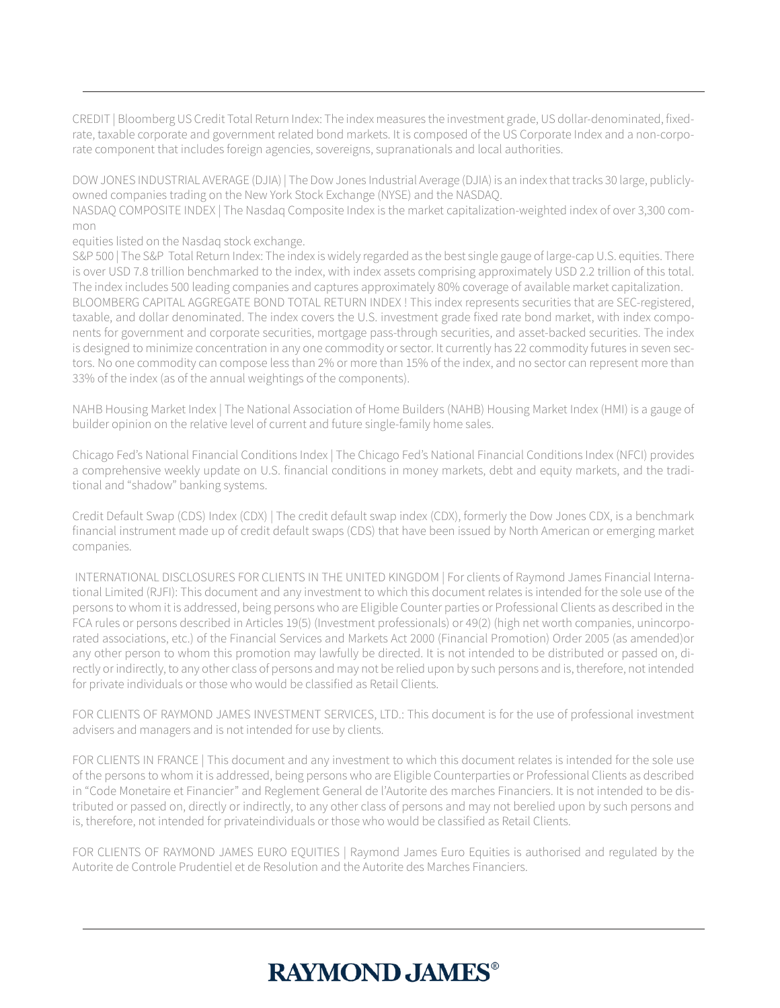CREDIT | Bloomberg US Credit Total Return Index: The index measures the investment grade, US dollar-denominated, fixedrate, taxable corporate and government related bond markets. It is composed of the US Corporate Index and a non-corporate component that includes foreign agencies, sovereigns, supranationals and local authorities.

DOW JONES INDUSTRIAL AVERAGE (DJIA) | The Dow Jones Industrial Average (DJIA) is an index that tracks 30 large, publiclyowned companies trading on the New York Stock Exchange (NYSE) and the NASDAQ.

NASDAQ COMPOSITE INDEX | The Nasdaq Composite Index is the market capitalization-weighted index of over 3,300 common

equities listed on the Nasdaq stock exchange.

S&P 500 | The S&P Total Return Index: The index is widely regarded as the best single gauge of large-cap U.S. equities. There is over USD 7.8 trillion benchmarked to the index, with index assets comprising approximately USD 2.2 trillion of this total. The index includes 500 leading companies and captures approximately 80% coverage of available market capitalization. BLOOMBERG CAPITAL AGGREGATE BOND TOTAL RETURN INDEX ! This index represents securities that are SEC-registered, taxable, and dollar denominated. The index covers the U.S. investment grade fixed rate bond market, with index components for government and corporate securities, mortgage pass-through securities, and asset-backed securities. The index is designed to minimize concentration in any one commodity or sector. It currently has 22 commodity futures in seven sectors. No one commodity can compose less than 2% or more than 15% of the index, and no sector can represent more than 33% of the index (as of the annual weightings of the components).

NAHB Housing Market Index | The National Association of Home Builders (NAHB) Housing Market Index (HMI) is a gauge of builder opinion on the relative level of current and future single-family home sales.

Chicago Fed's National Financial Conditions Index | The Chicago Fed's National Financial Conditions Index (NFCI) provides a comprehensive weekly update on U.S. financial conditions in money markets, debt and equity markets, and the traditional and "shadow" banking systems.

Credit Default Swap (CDS) Index (CDX) | The credit default swap index (CDX), formerly the Dow Jones CDX, is a benchmark financial instrument made up of credit default swaps (CDS) that have been issued by North American or emerging market companies.

 INTERNATIONAL DISCLOSURES FOR CLIENTS IN THE UNITED KINGDOM | For clients of Raymond James Financial International Limited (RJFI): This document and any investment to which this document relates is intended for the sole use of the persons to whom it is addressed, being persons who are Eligible Counter parties or Professional Clients as described in the FCA rules or persons described in Articles 19(5) (Investment professionals) or 49(2) (high net worth companies, unincorporated associations, etc.) of the Financial Services and Markets Act 2000 (Financial Promotion) Order 2005 (as amended)or any other person to whom this promotion may lawfully be directed. It is not intended to be distributed or passed on, directly or indirectly, to any other class of persons and may not be relied upon by such persons and is, therefore, not intended for private individuals or those who would be classified as Retail Clients.

FOR CLIENTS OF RAYMOND JAMES INVESTMENT SERVICES, LTD.: This document is for the use of professional investment advisers and managers and is not intended for use by clients.

FOR CLIENTS IN FRANCE | This document and any investment to which this document relates is intended for the sole use of the persons to whom it is addressed, being persons who are Eligible Counterparties or Professional Clients as described in "Code Monetaire et Financier" and Reglement General de l'Autorite des marches Financiers. It is not intended to be distributed or passed on, directly or indirectly, to any other class of persons and may not berelied upon by such persons and is, therefore, not intended for privateindividuals or those who would be classified as Retail Clients.

FOR CLIENTS OF RAYMOND JAMES EURO EQUITIES | Raymond James Euro Equities is authorised and regulated by the Autorite de Controle Prudentiel et de Resolution and the Autorite des Marches Financiers.

### **RAYMOND, JAMES®**